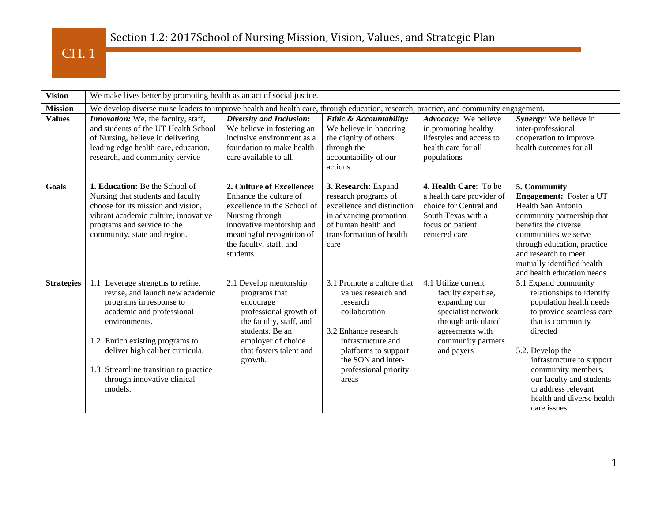| <b>Vision</b>     | We make lives better by promoting health as an act of social justice.                                                                                                                                                                                                                                  |                                                                                                                                                                                                         |                                                                                                                                                                                                              |                                                                                                                                                                |                                                                                                                                                                                                                                                                                                                  |  |  |
|-------------------|--------------------------------------------------------------------------------------------------------------------------------------------------------------------------------------------------------------------------------------------------------------------------------------------------------|---------------------------------------------------------------------------------------------------------------------------------------------------------------------------------------------------------|--------------------------------------------------------------------------------------------------------------------------------------------------------------------------------------------------------------|----------------------------------------------------------------------------------------------------------------------------------------------------------------|------------------------------------------------------------------------------------------------------------------------------------------------------------------------------------------------------------------------------------------------------------------------------------------------------------------|--|--|
| <b>Mission</b>    | We develop diverse nurse leaders to improve health and health care, through education, research, practice, and community engagement.                                                                                                                                                                   |                                                                                                                                                                                                         |                                                                                                                                                                                                              |                                                                                                                                                                |                                                                                                                                                                                                                                                                                                                  |  |  |
| <b>Values</b>     | <i>Innovation:</i> We, the faculty, staff,<br>and students of the UT Health School<br>of Nursing, believe in delivering<br>leading edge health care, education,<br>research, and community service                                                                                                     | <b>Diversity and Inclusion:</b><br>We believe in fostering an<br>inclusive environment as a<br>foundation to make health<br>care available to all.                                                      | Ethic & Accountability:<br>We believe in honoring<br>the dignity of others<br>through the<br>accountability of our<br>actions.                                                                               | Advocacy: We believe<br>in promoting healthy<br>lifestyles and access to<br>health care for all<br>populations                                                 | Synergy: We believe in<br>inter-professional<br>cooperation to improve<br>health outcomes for all                                                                                                                                                                                                                |  |  |
| <b>Goals</b>      | 1. Education: Be the School of<br>Nursing that students and faculty<br>choose for its mission and vision,<br>vibrant academic culture, innovative<br>programs and service to the<br>community, state and region.                                                                                       | 2. Culture of Excellence:<br>Enhance the culture of<br>excellence in the School of<br>Nursing through<br>innovative mentorship and<br>meaningful recognition of<br>the faculty, staff, and<br>students. | 3. Research: Expand<br>research programs of<br>excellence and distinction<br>in advancing promotion<br>of human health and<br>transformation of health<br>care                                               | 4. Health Care: To be<br>a health care provider of<br>choice for Central and<br>South Texas with a<br>focus on patient<br>centered care                        | 5. Community<br>Engagement: Foster a UT<br><b>Health San Antonio</b><br>community partnership that<br>benefits the diverse<br>communities we serve<br>through education, practice<br>and research to meet<br>mutually identified health<br>and health education needs                                            |  |  |
| <b>Strategies</b> | 1.1 Leverage strengths to refine,<br>revise, and launch new academic<br>programs in response to<br>academic and professional<br>environments.<br>1.2 Enrich existing programs to<br>deliver high caliber curricula.<br>1.3 Streamline transition to practice<br>through innovative clinical<br>models. | 2.1 Develop mentorship<br>programs that<br>encourage<br>professional growth of<br>the faculty, staff, and<br>students. Be an<br>employer of choice<br>that fosters talent and<br>growth.                | 3.1 Promote a culture that<br>values research and<br>research<br>collaboration<br>3.2 Enhance research<br>infrastructure and<br>platforms to support<br>the SON and inter-<br>professional priority<br>areas | 4.1 Utilize current<br>faculty expertise,<br>expanding our<br>specialist network<br>through articulated<br>agreements with<br>community partners<br>and payers | 5.1 Expand community<br>relationships to identify<br>population health needs<br>to provide seamless care<br>that is community<br>directed<br>5.2. Develop the<br>infrastructure to support<br>community members,<br>our faculty and students<br>to address relevant<br>health and diverse health<br>care issues. |  |  |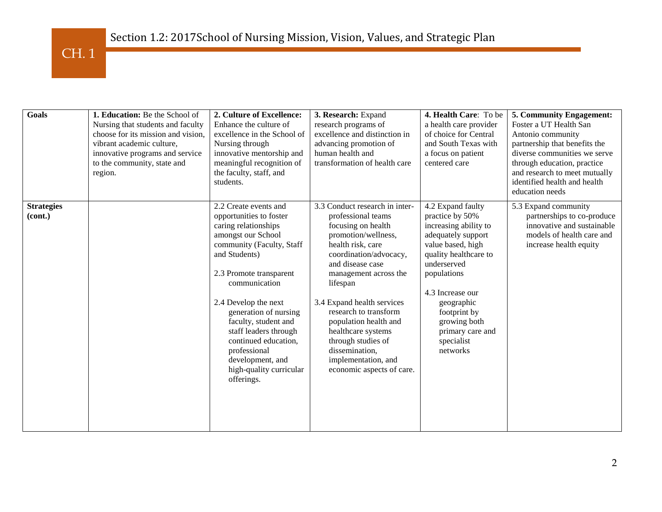

| Goals                        | 1. Education: Be the School of                                                                                                                                                    | 2. Culture of Excellence:                                                                                                                                                                                                                                                                                                                                                                       | 3. Research: Expand                                                                                                                                                                                                                                                                                                                                                                                         | 4. Health Care: To be                                                                                                                                                                                                                                                           | 5. Community Engagement:                                                                                                                                                                                                        |
|------------------------------|-----------------------------------------------------------------------------------------------------------------------------------------------------------------------------------|-------------------------------------------------------------------------------------------------------------------------------------------------------------------------------------------------------------------------------------------------------------------------------------------------------------------------------------------------------------------------------------------------|-------------------------------------------------------------------------------------------------------------------------------------------------------------------------------------------------------------------------------------------------------------------------------------------------------------------------------------------------------------------------------------------------------------|---------------------------------------------------------------------------------------------------------------------------------------------------------------------------------------------------------------------------------------------------------------------------------|---------------------------------------------------------------------------------------------------------------------------------------------------------------------------------------------------------------------------------|
|                              | Nursing that students and faculty<br>choose for its mission and vision,<br>vibrant academic culture,<br>innovative programs and service<br>to the community, state and<br>region. | Enhance the culture of<br>excellence in the School of<br>Nursing through<br>innovative mentorship and<br>meaningful recognition of<br>the faculty, staff, and<br>students.                                                                                                                                                                                                                      | research programs of<br>excellence and distinction in<br>advancing promotion of<br>human health and<br>transformation of health care                                                                                                                                                                                                                                                                        | a health care provider<br>of choice for Central<br>and South Texas with<br>a focus on patient<br>centered care                                                                                                                                                                  | Foster a UT Health San<br>Antonio community<br>partnership that benefits the<br>diverse communities we serve<br>through education, practice<br>and research to meet mutually<br>identified health and health<br>education needs |
| <b>Strategies</b><br>(cont.) |                                                                                                                                                                                   | 2.2 Create events and<br>opportunities to foster<br>caring relationships<br>amongst our School<br>community (Faculty, Staff<br>and Students)<br>2.3 Promote transparent<br>communication<br>2.4 Develop the next<br>generation of nursing<br>faculty, student and<br>staff leaders through<br>continued education,<br>professional<br>development, and<br>high-quality curricular<br>offerings. | 3.3 Conduct research in inter-<br>professional teams<br>focusing on health<br>promotion/wellness,<br>health risk, care<br>coordination/advocacy,<br>and disease case<br>management across the<br>lifespan<br>3.4 Expand health services<br>research to transform<br>population health and<br>healthcare systems<br>through studies of<br>dissemination,<br>implementation, and<br>economic aspects of care. | 4.2 Expand faulty<br>practice by 50%<br>increasing ability to<br>adequately support<br>value based, high<br>quality healthcare to<br>underserved<br>populations<br>4.3 Increase our<br>geographic<br>footprint by<br>growing both<br>primary care and<br>specialist<br>networks | 5.3 Expand community<br>partnerships to co-produce<br>innovative and sustainable<br>models of health care and<br>increase health equity                                                                                         |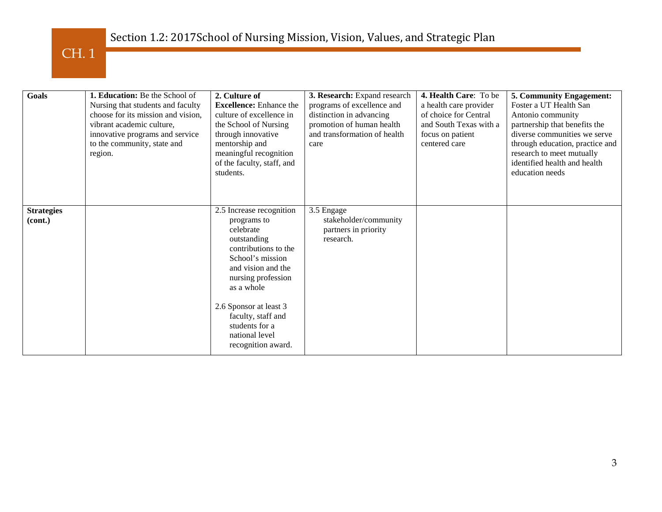## Section 1.2: 2017School of Nursing Mission, Vision, Values, and Strategic Plan

CH. 1

| Goals                        | 1. Education: Be the School of<br>Nursing that students and faculty<br>choose for its mission and vision,<br>vibrant academic culture,<br>innovative programs and service<br>to the community, state and<br>region. | 2. Culture of<br><b>Excellence:</b> Enhance the<br>culture of excellence in<br>the School of Nursing<br>through innovative<br>mentorship and<br>meaningful recognition<br>of the faculty, staff, and<br>students.                                                                   | 3. Research: Expand research<br>programs of excellence and<br>distinction in advancing<br>promotion of human health<br>and transformation of health<br>care | 4. Health Care: To be<br>a health care provider<br>of choice for Central<br>and South Texas with a<br>focus on patient<br>centered care | 5. Community Engagement:<br>Foster a UT Health San<br>Antonio community<br>partnership that benefits the<br>diverse communities we serve<br>through education, practice and<br>research to meet mutually<br>identified health and health<br>education needs |
|------------------------------|---------------------------------------------------------------------------------------------------------------------------------------------------------------------------------------------------------------------|-------------------------------------------------------------------------------------------------------------------------------------------------------------------------------------------------------------------------------------------------------------------------------------|-------------------------------------------------------------------------------------------------------------------------------------------------------------|-----------------------------------------------------------------------------------------------------------------------------------------|-------------------------------------------------------------------------------------------------------------------------------------------------------------------------------------------------------------------------------------------------------------|
| <b>Strategies</b><br>(cont.) |                                                                                                                                                                                                                     | 2.5 Increase recognition<br>programs to<br>celebrate<br>outstanding<br>contributions to the<br>School's mission<br>and vision and the<br>nursing profession<br>as a whole<br>2.6 Sponsor at least 3<br>faculty, staff and<br>students for a<br>national level<br>recognition award. | 3.5 Engage<br>stakeholder/community<br>partners in priority<br>research.                                                                                    |                                                                                                                                         |                                                                                                                                                                                                                                                             |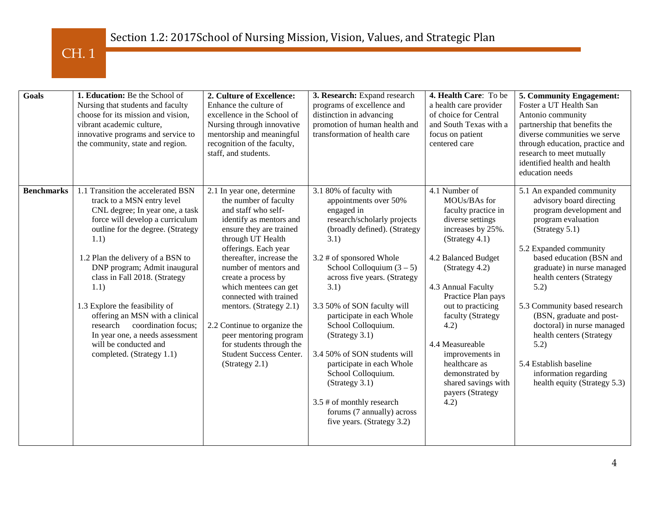| Goals             | 1. Education: Be the School of<br>Nursing that students and faculty<br>choose for its mission and vision,<br>vibrant academic culture,<br>innovative programs and service to<br>the community, state and region.                                                                                                                                                                                                                                                                                   | 2. Culture of Excellence:<br>Enhance the culture of<br>excellence in the School of<br>Nursing through innovative<br>mentorship and meaningful<br>recognition of the faculty,<br>staff, and students.                                                                                                                                                                                                                                                                              | 3. Research: Expand research<br>programs of excellence and<br>distinction in advancing<br>promotion of human health and<br>transformation of health care                                                                                                                                                                                                                                                                                                                                                                                   | 4. Health Care: To be<br>a health care provider<br>of choice for Central<br>and South Texas with a<br>focus on patient<br>centered care                                                                                                                                                                                                                                             | 5. Community Engagement:<br>Foster a UT Health San<br>Antonio community<br>partnership that benefits the<br>diverse communities we serve<br>through education, practice and<br>research to meet mutually<br>identified health and health<br>education needs                                                                                                                                                                                                       |
|-------------------|----------------------------------------------------------------------------------------------------------------------------------------------------------------------------------------------------------------------------------------------------------------------------------------------------------------------------------------------------------------------------------------------------------------------------------------------------------------------------------------------------|-----------------------------------------------------------------------------------------------------------------------------------------------------------------------------------------------------------------------------------------------------------------------------------------------------------------------------------------------------------------------------------------------------------------------------------------------------------------------------------|--------------------------------------------------------------------------------------------------------------------------------------------------------------------------------------------------------------------------------------------------------------------------------------------------------------------------------------------------------------------------------------------------------------------------------------------------------------------------------------------------------------------------------------------|-------------------------------------------------------------------------------------------------------------------------------------------------------------------------------------------------------------------------------------------------------------------------------------------------------------------------------------------------------------------------------------|-------------------------------------------------------------------------------------------------------------------------------------------------------------------------------------------------------------------------------------------------------------------------------------------------------------------------------------------------------------------------------------------------------------------------------------------------------------------|
| <b>Benchmarks</b> | 1.1 Transition the accelerated BSN<br>track to a MSN entry level<br>CNL degree; In year one, a task<br>force will develop a curriculum<br>outline for the degree. (Strategy<br>1.1)<br>1.2 Plan the delivery of a BSN to<br>DNP program; Admit inaugural<br>class in Fall 2018. (Strategy<br>1.1)<br>1.3 Explore the feasibility of<br>offering an MSN with a clinical<br>coordination focus;<br>research<br>In year one, a needs assessment<br>will be conducted and<br>completed. (Strategy 1.1) | 2.1 In year one, determine<br>the number of faculty<br>and staff who self-<br>identify as mentors and<br>ensure they are trained<br>through UT Health<br>offerings. Each year<br>thereafter, increase the<br>number of mentors and<br>create a process by<br>which mentees can get<br>connected with trained<br>mentors. (Strategy 2.1)<br>2.2 Continue to organize the<br>peer mentoring program<br>for students through the<br><b>Student Success Center.</b><br>(Strategy 2.1) | 3.1 80% of faculty with<br>appointments over 50%<br>engaged in<br>research/scholarly projects<br>(broadly defined). (Strategy<br>3.1)<br>3.2 # of sponsored Whole<br>School Colloquium $(3 – 5)$<br>across five years. (Strategy<br>3.1)<br>3.3 50% of SON faculty will<br>participate in each Whole<br>School Colloquium.<br>(Strategy 3.1)<br>3.4 50% of SON students will<br>participate in each Whole<br>School Colloquium.<br>(Strategy 3.1)<br>3.5 # of monthly research<br>forums (7 annually) across<br>five years. (Strategy 3.2) | 4.1 Number of<br>MOUs/BAs for<br>faculty practice in<br>diverse settings<br>increases by 25%.<br>(Strategy 4.1)<br>4.2 Balanced Budget<br>(Strategy 4.2)<br>4.3 Annual Faculty<br>Practice Plan pays<br>out to practicing<br>faculty (Strategy<br>4.2)<br>4.4 Measureable<br>improvements in<br>healthcare as<br>demonstrated by<br>shared savings with<br>payers (Strategy<br>4.2) | 5.1 An expanded community<br>advisory board directing<br>program development and<br>program evaluation<br>(Strategy 5.1)<br>5.2 Expanded community<br>based education (BSN and<br>graduate) in nurse managed<br>health centers (Strategy<br>5.2)<br>5.3 Community based research<br>(BSN, graduate and post-<br>doctoral) in nurse managed<br>health centers (Strategy<br>5.2)<br>5.4 Establish baseline<br>information regarding<br>health equity (Strategy 5.3) |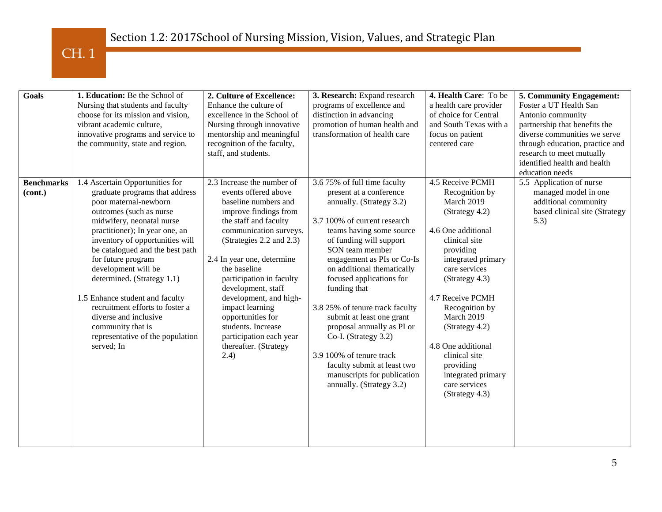| <b>Goals</b>                 | 1. Education: Be the School of<br>Nursing that students and faculty<br>choose for its mission and vision,<br>vibrant academic culture,<br>innovative programs and service to<br>the community, state and region.                                                                                                                                                                                                                                                                                            | 2. Culture of Excellence:<br>Enhance the culture of<br>excellence in the School of<br>Nursing through innovative<br>mentorship and meaningful<br>recognition of the faculty,<br>staff, and students.                                                                                                                                                                                                                                    | 3. Research: Expand research<br>programs of excellence and<br>distinction in advancing<br>promotion of human health and<br>transformation of health care                                                                                                                                                                                                                                                                                                                                                                                          | 4. Health Care: To be<br>a health care provider<br>of choice for Central<br>and South Texas with a<br>focus on patient<br>centered care                                                                                                                                                                                                                            | 5. Community Engagement:<br>Foster a UT Health San<br>Antonio community<br>partnership that benefits the<br>diverse communities we serve<br>through education, practice and<br>research to meet mutually<br>identified health and health<br>education needs |
|------------------------------|-------------------------------------------------------------------------------------------------------------------------------------------------------------------------------------------------------------------------------------------------------------------------------------------------------------------------------------------------------------------------------------------------------------------------------------------------------------------------------------------------------------|-----------------------------------------------------------------------------------------------------------------------------------------------------------------------------------------------------------------------------------------------------------------------------------------------------------------------------------------------------------------------------------------------------------------------------------------|---------------------------------------------------------------------------------------------------------------------------------------------------------------------------------------------------------------------------------------------------------------------------------------------------------------------------------------------------------------------------------------------------------------------------------------------------------------------------------------------------------------------------------------------------|--------------------------------------------------------------------------------------------------------------------------------------------------------------------------------------------------------------------------------------------------------------------------------------------------------------------------------------------------------------------|-------------------------------------------------------------------------------------------------------------------------------------------------------------------------------------------------------------------------------------------------------------|
| <b>Benchmarks</b><br>(cont.) | 1.4 Ascertain Opportunities for<br>graduate programs that address<br>poor maternal-newborn<br>outcomes (such as nurse<br>midwifery, neonatal nurse<br>practitioner); In year one, an<br>inventory of opportunities will<br>be catalogued and the best path<br>for future program<br>development will be<br>determined. (Strategy 1.1)<br>1.5 Enhance student and faculty<br>recruitment efforts to foster a<br>diverse and inclusive<br>community that is<br>representative of the population<br>served; In | 2.3 Increase the number of<br>events offered above<br>baseline numbers and<br>improve findings from<br>the staff and faculty<br>communication surveys.<br>(Strategies 2.2 and 2.3)<br>2.4 In year one, determine<br>the baseline<br>participation in faculty<br>development, staff<br>development, and high-<br>impact learning<br>opportunities for<br>students. Increase<br>participation each year<br>thereafter. (Strategy<br>(2.4) | 3.6 75% of full time faculty<br>present at a conference<br>annually. (Strategy 3.2)<br>3.7 100% of current research<br>teams having some source<br>of funding will support<br>SON team member<br>engagement as PIs or Co-Is<br>on additional thematically<br>focused applications for<br>funding that<br>3.8 25% of tenure track faculty<br>submit at least one grant<br>proposal annually as PI or<br>Co-I. (Strategy 3.2)<br>3.9 100% of tenure track<br>faculty submit at least two<br>manuscripts for publication<br>annually. (Strategy 3.2) | 4.5 Receive PCMH<br>Recognition by<br>March 2019<br>(Strategy 4.2)<br>4.6 One additional<br>clinical site<br>providing<br>integrated primary<br>care services<br>(Strategy 4.3)<br>4.7 Receive PCMH<br>Recognition by<br>March 2019<br>(Strategy 4.2)<br>4.8 One additional<br>clinical site<br>providing<br>integrated primary<br>care services<br>(Strategy 4.3) | 5.5 Application of nurse<br>managed model in one<br>additional community<br>based clinical site (Strategy<br>5.3)                                                                                                                                           |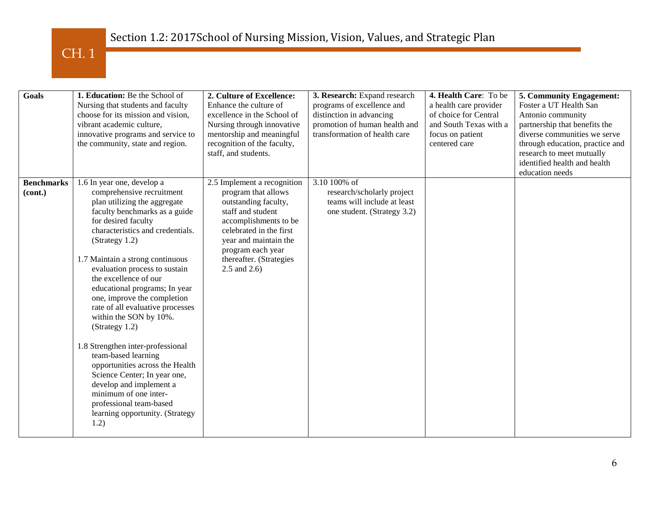| <b>Goals</b>                 | 1. Education: Be the School of<br>Nursing that students and faculty<br>choose for its mission and vision,<br>vibrant academic culture,<br>innovative programs and service to<br>the community, state and region.                                                                                                                                                                                                                                                                                                                                                                                                                                                                                             | 2. Culture of Excellence:<br>Enhance the culture of<br>excellence in the School of<br>Nursing through innovative<br>mentorship and meaningful<br>recognition of the faculty,<br>staff, and students.                                              | 3. Research: Expand research<br>programs of excellence and<br>distinction in advancing<br>promotion of human health and<br>transformation of health care | 4. Health Care: To be<br>a health care provider<br>of choice for Central<br>and South Texas with a<br>focus on patient<br>centered care | 5. Community Engagement:<br>Foster a UT Health San<br>Antonio community<br>partnership that benefits the<br>diverse communities we serve<br>through education, practice and<br>research to meet mutually<br>identified health and health<br>education needs |
|------------------------------|--------------------------------------------------------------------------------------------------------------------------------------------------------------------------------------------------------------------------------------------------------------------------------------------------------------------------------------------------------------------------------------------------------------------------------------------------------------------------------------------------------------------------------------------------------------------------------------------------------------------------------------------------------------------------------------------------------------|---------------------------------------------------------------------------------------------------------------------------------------------------------------------------------------------------------------------------------------------------|----------------------------------------------------------------------------------------------------------------------------------------------------------|-----------------------------------------------------------------------------------------------------------------------------------------|-------------------------------------------------------------------------------------------------------------------------------------------------------------------------------------------------------------------------------------------------------------|
| <b>Benchmarks</b><br>(cont.) | 1.6 In year one, develop a<br>comprehensive recruitment<br>plan utilizing the aggregate<br>faculty benchmarks as a guide<br>for desired faculty<br>characteristics and credentials.<br>(Strategy 1.2)<br>1.7 Maintain a strong continuous<br>evaluation process to sustain<br>the excellence of our<br>educational programs; In year<br>one, improve the completion<br>rate of all evaluative processes<br>within the SON by 10%.<br>(Strategy 1.2)<br>1.8 Strengthen inter-professional<br>team-based learning<br>opportunities across the Health<br>Science Center; In year one,<br>develop and implement a<br>minimum of one inter-<br>professional team-based<br>learning opportunity. (Strategy<br>1.2) | 2.5 Implement a recognition<br>program that allows<br>outstanding faculty,<br>staff and student<br>accomplishments to be<br>celebrated in the first<br>year and maintain the<br>program each year<br>thereafter. (Strategies<br>$2.5$ and $2.6$ ) | 3.10 100% of<br>research/scholarly project<br>teams will include at least<br>one student. (Strategy 3.2)                                                 |                                                                                                                                         |                                                                                                                                                                                                                                                             |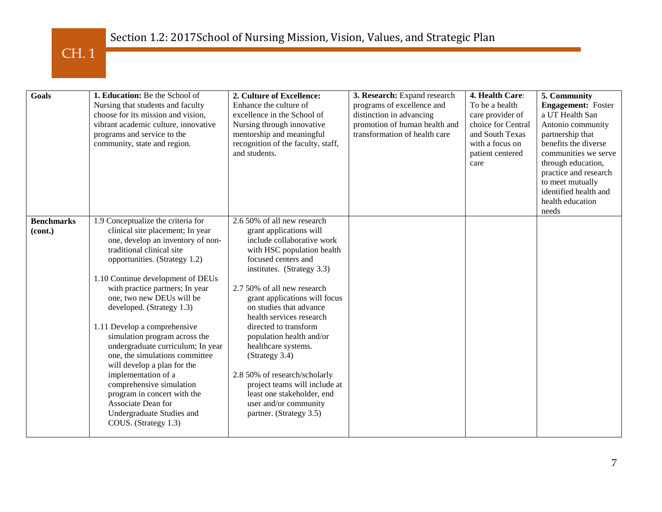| <b>Goals</b>                 | 1. Education: Be the School of<br>Nursing that students and faculty<br>choose for its mission and vision,<br>vibrant academic culture, innovative<br>programs and service to the<br>community, state and region.                                                                                                                                                                                                                                                                                                                                                                                                                                | 2. Culture of Excellence:<br>Enhance the culture of<br>excellence in the School of<br>Nursing through innovative<br>mentorship and meaningful<br>recognition of the faculty, staff,<br>and students.                                                                                                                                                                                                                                                                                                                                             | 3. Research: Expand research<br>programs of excellence and<br>distinction in advancing<br>promotion of human health and<br>transformation of health care | 4. Health Care:<br>To be a health<br>care provider of<br>choice for Central<br>and South Texas<br>with a focus on<br>patient centered<br>care | 5. Community<br><b>Engagement:</b> Foster<br>a UT Health San<br>Antonio community<br>partnership that<br>benefits the diverse<br>communities we serve<br>through education,<br>practice and research<br>to meet mutually<br>identified health and<br>health education<br>needs |
|------------------------------|-------------------------------------------------------------------------------------------------------------------------------------------------------------------------------------------------------------------------------------------------------------------------------------------------------------------------------------------------------------------------------------------------------------------------------------------------------------------------------------------------------------------------------------------------------------------------------------------------------------------------------------------------|--------------------------------------------------------------------------------------------------------------------------------------------------------------------------------------------------------------------------------------------------------------------------------------------------------------------------------------------------------------------------------------------------------------------------------------------------------------------------------------------------------------------------------------------------|----------------------------------------------------------------------------------------------------------------------------------------------------------|-----------------------------------------------------------------------------------------------------------------------------------------------|--------------------------------------------------------------------------------------------------------------------------------------------------------------------------------------------------------------------------------------------------------------------------------|
| <b>Benchmarks</b><br>(cont.) | 1.9 Conceptualize the criteria for<br>clinical site placement; In year<br>one, develop an inventory of non-<br>traditional clinical site<br>opportunities. (Strategy 1.2)<br>1.10 Continue development of DEUs<br>with practice partners; In year<br>one, two new DEUs will be<br>developed. (Strategy 1.3)<br>1.11 Develop a comprehensive<br>simulation program across the<br>undergraduate curriculum; In year<br>one, the simulations committee<br>will develop a plan for the<br>implementation of a<br>comprehensive simulation<br>program in concert with the<br>Associate Dean for<br>Undergraduate Studies and<br>COUS. (Strategy 1.3) | 2.6 50% of all new research<br>grant applications will<br>include collaborative work<br>with HSC population health<br>focused centers and<br>institutes. (Strategy 3.3)<br>2.7 50% of all new research<br>grant applications will focus<br>on studies that advance<br>health services research<br>directed to transform<br>population health and/or<br>healthcare systems.<br>(Strategy 3.4)<br>2.8 50% of research/scholarly<br>project teams will include at<br>least one stakeholder, end<br>user and/or community<br>partner. (Strategy 3.5) |                                                                                                                                                          |                                                                                                                                               |                                                                                                                                                                                                                                                                                |